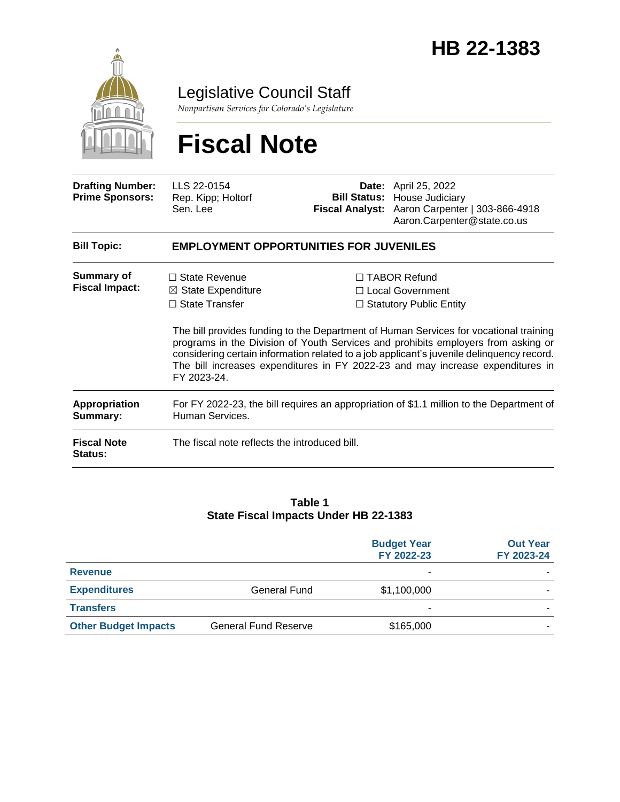

Legislative Council Staff

*Nonpartisan Services for Colorado's Legislature*

# **Fiscal Note**

| <b>Drafting Number:</b><br><b>Prime Sponsors:</b> | LLS 22-0154<br>Rep. Kipp; Holtorf<br>Sen. Lee                                                               |  | <b>Date:</b> April 25, 2022<br><b>Bill Status: House Judiciary</b><br>Fiscal Analyst: Aaron Carpenter   303-866-4918<br>Aaron.Carpenter@state.co.us                                                                                                                                                                                                                                                                                      |  |
|---------------------------------------------------|-------------------------------------------------------------------------------------------------------------|--|------------------------------------------------------------------------------------------------------------------------------------------------------------------------------------------------------------------------------------------------------------------------------------------------------------------------------------------------------------------------------------------------------------------------------------------|--|
| <b>Bill Topic:</b>                                | <b>EMPLOYMENT OPPORTUNITIES FOR JUVENILES</b>                                                               |  |                                                                                                                                                                                                                                                                                                                                                                                                                                          |  |
| <b>Summary of</b><br><b>Fiscal Impact:</b>        | $\Box$ State Revenue<br>$\boxtimes$ State Expenditure<br>$\Box$ State Transfer<br>FY 2023-24.               |  | $\Box$ TABOR Refund<br>□ Local Government<br>$\Box$ Statutory Public Entity<br>The bill provides funding to the Department of Human Services for vocational training<br>programs in the Division of Youth Services and prohibits employers from asking or<br>considering certain information related to a job applicant's juvenile delinquency record.<br>The bill increases expenditures in FY 2022-23 and may increase expenditures in |  |
| Appropriation<br>Summary:                         | For FY 2022-23, the bill requires an appropriation of \$1.1 million to the Department of<br>Human Services. |  |                                                                                                                                                                                                                                                                                                                                                                                                                                          |  |
| <b>Fiscal Note</b><br><b>Status:</b>              | The fiscal note reflects the introduced bill.                                                               |  |                                                                                                                                                                                                                                                                                                                                                                                                                                          |  |

#### **Table 1 State Fiscal Impacts Under HB 22-1383**

|                             |                             | <b>Budget Year</b><br>FY 2022-23 | <b>Out Year</b><br>FY 2023-24 |
|-----------------------------|-----------------------------|----------------------------------|-------------------------------|
| <b>Revenue</b>              |                             | $\overline{\phantom{a}}$         |                               |
| <b>Expenditures</b>         | <b>General Fund</b>         | \$1,100,000                      |                               |
| <b>Transfers</b>            |                             | $\overline{\phantom{a}}$         |                               |
| <b>Other Budget Impacts</b> | <b>General Fund Reserve</b> | \$165,000                        |                               |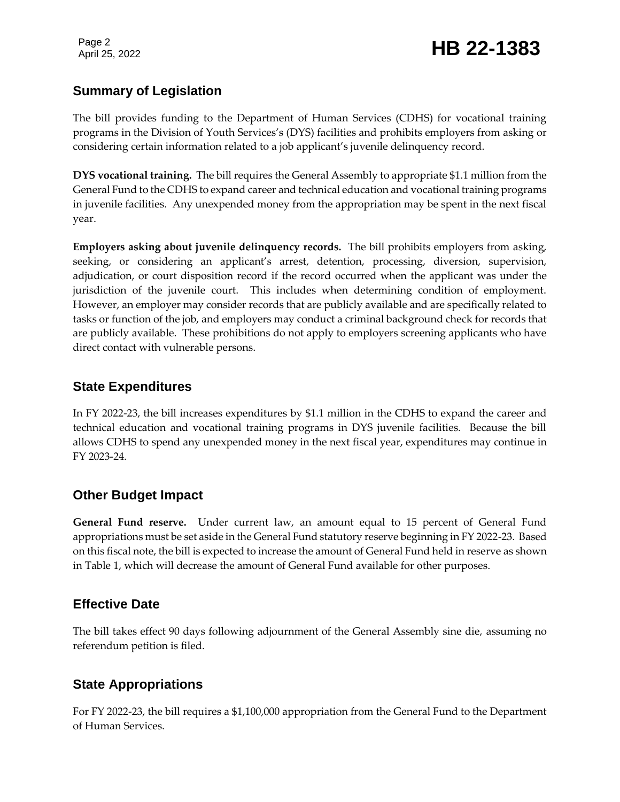#### **Summary of Legislation**

The bill provides funding to the Department of Human Services (CDHS) for vocational training programs in the Division of Youth Services's (DYS) facilities and prohibits employers from asking or considering certain information related to a job applicant's juvenile delinquency record.

**DYS vocational training.** The bill requires the General Assembly to appropriate \$1.1 million from the General Fund to the CDHS to expand career and technical education and vocational training programs in juvenile facilities. Any unexpended money from the appropriation may be spent in the next fiscal year.

**Employers asking about juvenile delinquency records.** The bill prohibits employers from asking, seeking, or considering an applicant's arrest, detention, processing, diversion, supervision, adjudication, or court disposition record if the record occurred when the applicant was under the jurisdiction of the juvenile court. This includes when determining condition of employment. However, an employer may consider records that are publicly available and are specifically related to tasks or function of the job, and employers may conduct a criminal background check for records that are publicly available. These prohibitions do not apply to employers screening applicants who have direct contact with vulnerable persons.

#### **State Expenditures**

In FY 2022-23, the bill increases expenditures by \$1.1 million in the CDHS to expand the career and technical education and vocational training programs in DYS juvenile facilities. Because the bill allows CDHS to spend any unexpended money in the next fiscal year, expenditures may continue in FY 2023-24.

#### **Other Budget Impact**

**General Fund reserve.** Under current law, an amount equal to 15 percent of General Fund appropriations must be set aside in the General Fund statutory reserve beginning in FY 2022-23. Based on this fiscal note, the bill is expected to increase the amount of General Fund held in reserve as shown in Table 1, which will decrease the amount of General Fund available for other purposes.

#### **Effective Date**

The bill takes effect 90 days following adjournment of the General Assembly sine die, assuming no referendum petition is filed.

### **State Appropriations**

For FY 2022-23, the bill requires a \$1,100,000 appropriation from the General Fund to the Department of Human Services.